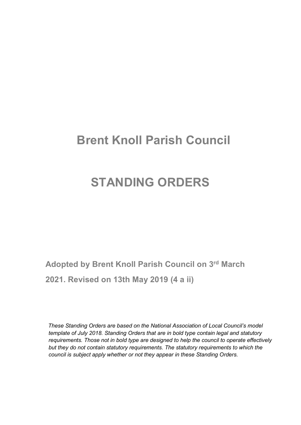# Brent Knoll Parish Council

# STANDING ORDERS

Adopted by Brent Knoll Parish Council on 3rd March 2021. Revised on 13th May 2019 (4 a ii)

These Standing Orders are based on the National Association of Local Council's model template of July 2018. Standing Orders that are in bold type contain legal and statutory requirements. Those not in bold type are designed to help the council to operate effectively but they do not contain statutory requirements. The statutory requirements to which the council is subject apply whether or not they appear in these Standing Orders.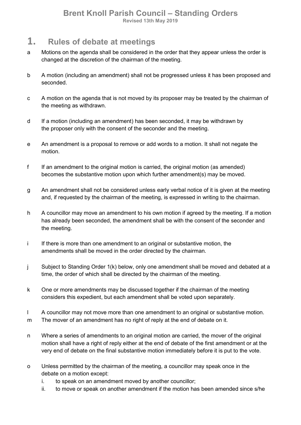### 1. Rules of debate at meetings

- a Motions on the agenda shall be considered in the order that they appear unless the order is changed at the discretion of the chairman of the meeting.
- b A motion (including an amendment) shall not be progressed unless it has been proposed and seconded.
- c A motion on the agenda that is not moved by its proposer may be treated by the chairman of the meeting as withdrawn.
- d If a motion (including an amendment) has been seconded, it may be withdrawn by the proposer only with the consent of the seconder and the meeting.
- e An amendment is a proposal to remove or add words to a motion. It shall not negate the motion.
- f If an amendment to the original motion is carried, the original motion (as amended) becomes the substantive motion upon which further amendment(s) may be moved.
- g An amendment shall not be considered unless early verbal notice of it is given at the meeting and, if requested by the chairman of the meeting, is expressed in writing to the chairman.
- h A councillor may move an amendment to his own motion if agreed by the meeting. If a motion has already been seconded, the amendment shall be with the consent of the seconder and the meeting.
- i If there is more than one amendment to an original or substantive motion, the amendments shall be moved in the order directed by the chairman.
- j Subject to Standing Order 1(k) below, only one amendment shall be moved and debated at a time, the order of which shall be directed by the chairman of the meeting.
- k One or more amendments may be discussed together if the chairman of the meeting considers this expedient, but each amendment shall be voted upon separately.
- l A councillor may not move more than one amendment to an original or substantive motion.
- m The mover of an amendment has no right of reply at the end of debate on it.
- n Where a series of amendments to an original motion are carried, the mover of the original motion shall have a right of reply either at the end of debate of the first amendment or at the very end of debate on the final substantive motion immediately before it is put to the vote.
- o Unless permitted by the chairman of the meeting, a councillor may speak once in the debate on a motion except:
	- i. to speak on an amendment moved by another councillor;
	- ii. to move or speak on another amendment if the motion has been amended since s/he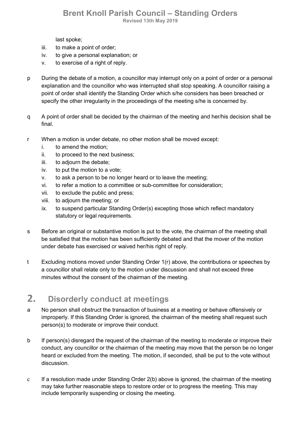last spoke;

- iii. to make a point of order;
- iv. to give a personal explanation; or
- v. to exercise of a right of reply.
- p During the debate of a motion, a councillor may interrupt only on a point of order or a personal explanation and the councillor who was interrupted shall stop speaking. A councillor raising a point of order shall identify the Standing Order which s/he considers has been breached or specify the other irregularity in the proceedings of the meeting s/he is concerned by.
- q A point of order shall be decided by the chairman of the meeting and her/his decision shall be final.
- r When a motion is under debate, no other motion shall be moved except:
	- i. to amend the motion;
	- ii. to proceed to the next business;
	- iii. to adjourn the debate;
	- iv. to put the motion to a vote;
	- v. to ask a person to be no longer heard or to leave the meeting;
	- vi. to refer a motion to a committee or sub-committee for consideration;
	- vii. to exclude the public and press;
	- viii. to adjourn the meeting; or
	- ix. to suspend particular Standing Order(s) excepting those which reflect mandatory statutory or legal requirements.
- s Before an original or substantive motion is put to the vote, the chairman of the meeting shall be satisfied that the motion has been sufficiently debated and that the mover of the motion under debate has exercised or waived her/his right of reply.
- t Excluding motions moved under Standing Order 1(r) above, the contributions or speeches by a councillor shall relate only to the motion under discussion and shall not exceed three minutes without the consent of the chairman of the meeting.

# 2. Disorderly conduct at meetings

- a No person shall obstruct the transaction of business at a meeting or behave offensively or improperly. If this Standing Order is ignored, the chairman of the meeting shall request such person(s) to moderate or improve their conduct.
- b If person(s) disregard the request of the chairman of the meeting to moderate or improve their conduct, any councillor or the chairman of the meeting may move that the person be no longer heard or excluded from the meeting. The motion, if seconded, shall be put to the vote without discussion.
- c If a resolution made under Standing Order 2(b) above is ignored, the chairman of the meeting may take further reasonable steps to restore order or to progress the meeting. This may include temporarily suspending or closing the meeting.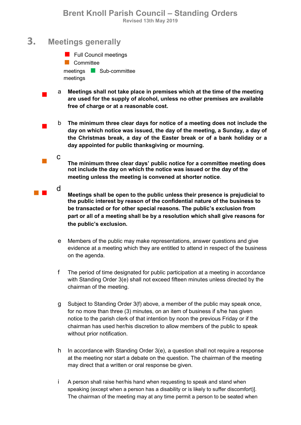### 3. Meetings generally

 $\mathcal{L}_{\mathcal{A}}$ 

c

**Full Council meetings Committee** meetings **Sub-committee** meetings

 $\mathcal{L}_{\text{max}}$ a Meetings shall not take place in premises which at the time of the meeting are used for the supply of alcohol, unless no other premises are available free of charge or at a reasonable cost.

 $\mathcal{L}_{\text{max}}$ b The minimum three clear days for notice of a meeting does not include the day on which notice was issued, the day of the meeting, a Sunday, a day of the Christmas break, a day of the Easter break or of a bank holiday or a day appointed for public thanksgiving or mourning.

> The minimum three clear days' public notice for a committee meeting does not include the day on which the notice was issued or the day of the meeting unless the meeting is convened at shorter notice.

**d** Meetings shall be open to the public unless their presence is prejudicial to the public interest by reason of the confidential nature of the business to be transacted or for other special reasons. The public's exclusion from part or all of a meeting shall be by a resolution which shall give reasons for the public's exclusion.

- e Members of the public may make representations, answer questions and give evidence at a meeting which they are entitled to attend in respect of the business on the agenda.
- f The period of time designated for public participation at a meeting in accordance with Standing Order 3(e) shall not exceed fifteen minutes unless directed by the chairman of the meeting.
- g Subject to Standing Order 3(f) above, a member of the public may speak once, for no more than three (3) minutes, on an item of business if s/he has given notice to the parish clerk of that intention by noon the previous Friday or if the chairman has used her/his discretion to allow members of the public to speak without prior notification.
- h In accordance with Standing Order 3(e), a question shall not require a response at the meeting nor start a debate on the question. The chairman of the meeting may direct that a written or oral response be given.
- i A person shall raise her/his hand when requesting to speak and stand when speaking (except when a person has a disability or is likely to suffer discomfort)]. The chairman of the meeting may at any time permit a person to be seated when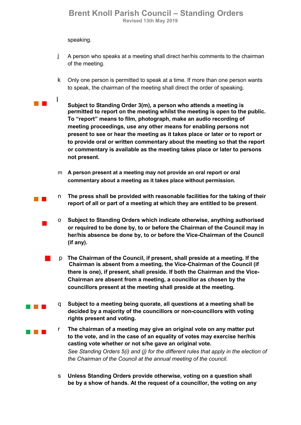speaking.

a a shekara

- j A person who speaks at a meeting shall direct her/his comments to the chairman of the meeting.
- k Only one person is permitted to speak at a time. If more than one person wants to speak, the chairman of the meeting shall direct the order of speaking.
- la anglica di T Subject to Standing Order 3(m), a person who attends a meeting is permitted to report on the meeting whilst the meeting is open to the public. To "report" means to film, photograph, make an audio recording of meeting proceedings, use any other means for enabling persons not present to see or hear the meeting as it takes place or later or to report or to provide oral or written commentary about the meeting so that the report or commentary is available as the meeting takes place or later to persons not present.
	- m A person present at a meeting may not provide an oral report or oral commentary about a meeting as it takes place without permission.
- **The Co** n The press shall be provided with reasonable facilities for the taking of their report of all or part of a meeting at which they are entitled to be present.
	- $\mathcal{L}_{\text{max}}$ o Subject to Standing Orders which indicate otherwise, anything authorised or required to be done by, to or before the Chairman of the Council may in her/his absence be done by, to or before the Vice-Chairman of the Council (if any).
		- <sup>p</sup>The Chairman of the Council, if present, shall preside at a meeting. If the Chairman is absent from a meeting, the Vice-Chairman of the Council (if there is one), if present, shall preside. If both the Chairman and the Vice-Chairman are absent from a meeting, a councillor as chosen by the councillors present at the meeting shall preside at the meeting.
		- q Subject to a meeting being quorate, all questions at a meeting shall be decided by a majority of the councillors or non-councillors with voting rights present and voting.
- a na ka r The chairman of a meeting may give an original vote on any matter put to the vote, and in the case of an equality of votes may exercise her/his casting vote whether or not s/he gave an original vote. See Standing Orders 5(i) and (i) for the different rules that apply in the election of the Chairman of the Council at the annual meeting of the council.
	- s Unless Standing Orders provide otherwise, voting on a question shall be by a show of hands. At the request of a councillor, the voting on any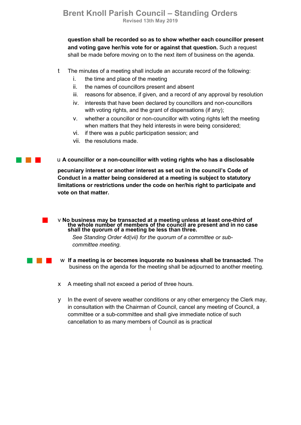question shall be recorded so as to show whether each councillor present and voting gave her/his vote for or against that question. Such a request shall be made before moving on to the next item of business on the agenda.

- t The minutes of a meeting shall include an accurate record of the following:
	- i. the time and place of the meeting
	- ii. the names of councillors present and absent
	- iii. reasons for absence, if given, and a record of any approval by resolution
	- iv. interests that have been declared by councillors and non-councillors with voting rights, and the grant of dispensations (if any);
	- v. whether a councillor or non-councillor with voting rights left the meeting when matters that they held interests in were being considered;
	- vi. if there was a public participation session; and
	- vii. the resolutions made.

<sup>u</sup>A councillor or a non-councillor with voting rights who has a disclosable

pecuniary interest or another interest as set out in the council's Code of Conduct in a matter being considered at a meeting is subject to statutory limitations or restrictions under the code on her/his right to participate and vote on that matter.

■ V No business may be transacted at a meeting unless at least one-third of<br>the whole number of members of the council are present and in no case shall the quorum of a meeting be less than three.

> See Standing Order 4d(vii) for the quorum of a committee or subcommittee meeting.

- w If a meeting is or becomes inquorate no business shall be transacted. The business on the agenda for the meeting shall be adjourned to another meeting.
- x A meeting shall not exceed a period of three hours.
- y In the event of severe weather conditions or any other emergency the Clerk may, in consultation with the Chairman of Council, cancel any meeting of Council, a committee or a sub-committee and shall give immediate notice of such cancellation to as many members of Council as is practical

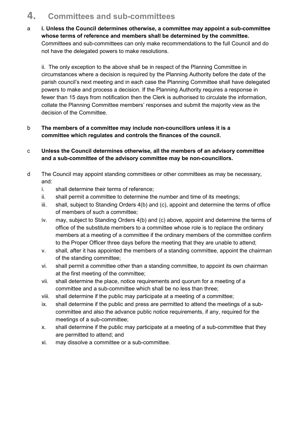# 4. Committees and sub-committees

a i. Unless the Council determines otherwise, a committee may appoint a sub-committee whose terms of reference and members shall be determined by the committee. Committees and sub-committees can only make recommendations to the full Council and do not have the delegated powers to make resolutions.

ii. The only exception to the above shall be in respect of the Planning Committee in circumstances where a decision is required by the Planning Authority before the date of the parish council's next meeting and in each case the Planning Committee shall have delegated powers to make and process a decision. If the Planning Authority requires a response in fewer than 15 days from notification then the Clerk is authorised to circulate the information, collate the Planning Committee members' responses and submit the majority view as the decision of the Committee.

#### b The members of a committee may include non-councillors unless it is a committee which regulates and controls the finances of the council.

- c Unless the Council determines otherwise, all the members of an advisory committee and a sub-committee of the advisory committee may be non-councillors.
- d The Council may appoint standing committees or other committees as may be necessary, and:
	- i. shall determine their terms of reference;
	- ii. shall permit a committee to determine the number and time of its meetings;
	- iii. shall, subject to Standing Orders 4(b) and (c), appoint and determine the terms of office of members of such a committee;
	- iv. may, subject to Standing Orders 4(b) and (c) above, appoint and determine the terms of office of the substitute members to a committee whose role is to replace the ordinary members at a meeting of a committee if the ordinary members of the committee confirm to the Proper Officer three days before the meeting that they are unable to attend;
	- v. shall, after it has appointed the members of a standing committee, appoint the chairman of the standing committee;
	- vi. shall permit a committee other than a standing committee, to appoint its own chairman at the first meeting of the committee;
	- vii. shall determine the place, notice requirements and quorum for a meeting of a committee and a sub-committee which shall be no less than three;
	- viii. shall determine if the public may participate at a meeting of a committee;
	- ix. shall determine if the public and press are permitted to attend the meetings of a subcommittee and also the advance public notice requirements, if any, required for the meetings of a sub-committee;
	- x. shall determine if the public may participate at a meeting of a sub-committee that they are permitted to attend; and
	- xi. may dissolve a committee or a sub-committee.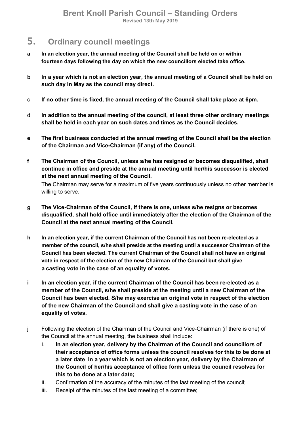### 5. Ordinary council meetings

- a In an election year, the annual meeting of the Council shall be held on or within fourteen days following the day on which the new councillors elected take office.
- b In a year which is not an election year, the annual meeting of a Council shall be held on such day in May as the council may direct.
- c If no other time is fixed, the annual meeting of the Council shall take place at 6pm.
- d In addition to the annual meeting of the council, at least three other ordinary meetings shall be held in each year on such dates and times as the Council decides.
- e The first business conducted at the annual meeting of the Council shall be the election of the Chairman and Vice-Chairman (if any) of the Council.
- f The Chairman of the Council, unless s/he has resigned or becomes disqualified, shall continue in office and preside at the annual meeting until her/his successor is elected at the next annual meeting of the Council. The Chairman may serve for a maximum of five years continuously unless no other member is willing to serve.
- g The Vice-Chairman of the Council, if there is one, unless s/he resigns or becomes disqualified, shall hold office until immediately after the election of the Chairman of the Council at the next annual meeting of the Council.
- h In an election year, if the current Chairman of the Council has not been re-elected as a member of the council, s/he shall preside at the meeting until a successor Chairman of the Council has been elected. The current Chairman of the Council shall not have an original vote in respect of the election of the new Chairman of the Council but shall give a casting vote in the case of an equality of votes.
- i In an election year, if the current Chairman of the Council has been re-elected as a member of the Council, s/he shall preside at the meeting until a new Chairman of the Council has been elected. S/he may exercise an original vote in respect of the election of the new Chairman of the Council and shall give a casting vote in the case of an equality of votes.
- j Following the election of the Chairman of the Council and Vice-Chairman (if there is one) of the Council at the annual meeting, the business shall include:
	- i. In an election year, delivery by the Chairman of the Council and councillors of their acceptance of office forms unless the council resolves for this to be done at a later date. In a year which is not an election year, delivery by the Chairman of the Council of her/his acceptance of office form unless the council resolves for this to be done at a later date;
	- ii. Confirmation of the accuracy of the minutes of the last meeting of the council;
	- iii. Receipt of the minutes of the last meeting of a committee;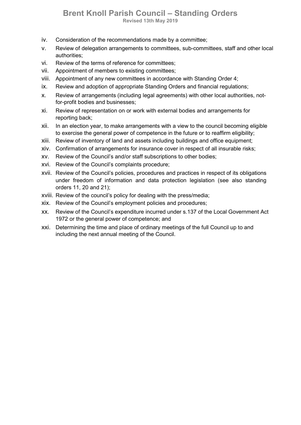- iv. Consideration of the recommendations made by a committee;
- v. Review of delegation arrangements to committees, sub-committees, staff and other local authorities;
- vi. Review of the terms of reference for committees;
- vii. Appointment of members to existing committees;
- viii. Appointment of any new committees in accordance with Standing Order 4;
- ix. Review and adoption of appropriate Standing Orders and financial regulations;
- x. Review of arrangements (including legal agreements) with other local authorities, notfor-profit bodies and businesses;
- xi. Review of representation on or work with external bodies and arrangements for reporting back;
- xii. In an election year, to make arrangements with a view to the council becoming eligible to exercise the general power of competence in the future or to reaffirm eligibility;
- xiii. Review of inventory of land and assets including buildings and office equipment;
- xiv. Confirmation of arrangements for insurance cover in respect of all insurable risks;
- xv. Review of the Council's and/or staff subscriptions to other bodies;
- xvi. Review of the Council's complaints procedure;
- xvii. Review of the Council's policies, procedures and practices in respect of its obligations under freedom of information and data protection legislation (see also standing orders 11, 20 and 21);
- xviii. Review of the council's policy for dealing with the press/media;
- xix. Review of the Council's employment policies and procedures;
- xx. Review of the Council's expenditure incurred under s.137 of the Local Government Act 1972 or the general power of competence; and
- xxi. Determining the time and place of ordinary meetings of the full Council up to and including the next annual meeting of the Council.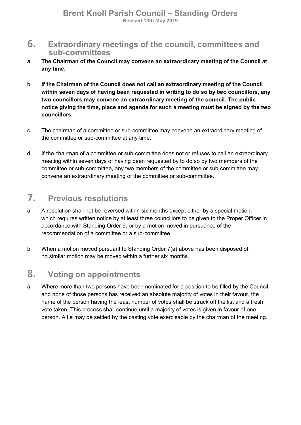- 6. Extraordinary meetings of the council, committees and sub-committees
- a The Chairman of the Council may convene an extraordinary meeting of the Council at any time.
- b If the Chairman of the Council does not call an extraordinary meeting of the Council within seven days of having been requested in writing to do so by two councillors, any two councillors may convene an extraordinary meeting of the council. The public notice giving the time, place and agenda for such a meeting must be signed by the two councillors.
- c The chairman of a committee or sub-committee may convene an extraordinary meeting of the committee or sub-committee at any time.
- d If the chairman of a committee or sub-committee does not or refuses to call an extraordinary meeting within seven days of having been requested by to do so by two members of the committee or sub-committee, any two members of the committee or sub-committee may convene an extraordinary meeting of the committee or sub-committee.

# 7. Previous resolutions

- a A resolution shall not be reversed within six months except either by a special motion, which requires written notice by at least three councillors to be given to the Proper Officer in accordance with Standing Order 9, or by a motion moved in pursuance of the recommendation of a committee or a sub-committee.
- b When a motion moved pursuant to Standing Order 7(a) above has been disposed of, no similar motion may be moved within a further six months.

### 8. Voting on appointments

a Where more than two persons have been nominated for a position to be filled by the Council and none of those persons has received an absolute majority of votes in their favour, the name of the person having the least number of votes shall be struck off the list and a fresh vote taken. This process shall continue until a majority of votes is given in favour of one person. A tie may be settled by the casting vote exercisable by the chairman of the meeting.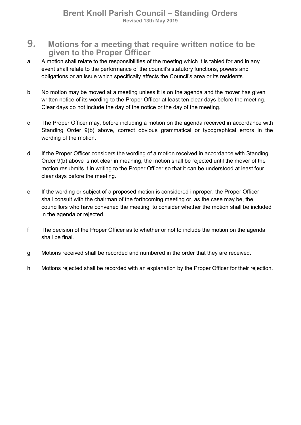- 9. Motions for a meeting that require written notice to be given to the Proper Officer
- a A motion shall relate to the responsibilities of the meeting which it is tabled for and in any event shall relate to the performance of the council's statutory functions, powers and obligations or an issue which specifically affects the Council's area or its residents.
- b No motion may be moved at a meeting unless it is on the agenda and the mover has given written notice of its wording to the Proper Officer at least ten clear days before the meeting. Clear days do not include the day of the notice or the day of the meeting.
- c The Proper Officer may, before including a motion on the agenda received in accordance with Standing Order 9(b) above, correct obvious grammatical or typographical errors in the wording of the motion.
- d If the Proper Officer considers the wording of a motion received in accordance with Standing Order 9(b) above is not clear in meaning, the motion shall be rejected until the mover of the motion resubmits it in writing to the Proper Officer so that it can be understood at least four clear days before the meeting.
- e If the wording or subject of a proposed motion is considered improper, the Proper Officer shall consult with the chairman of the forthcoming meeting or, as the case may be, the councillors who have convened the meeting, to consider whether the motion shall be included in the agenda or rejected.
- f The decision of the Proper Officer as to whether or not to include the motion on the agenda shall be final.
- g Motions received shall be recorded and numbered in the order that they are received.
- h Motions rejected shall be recorded with an explanation by the Proper Officer for their rejection.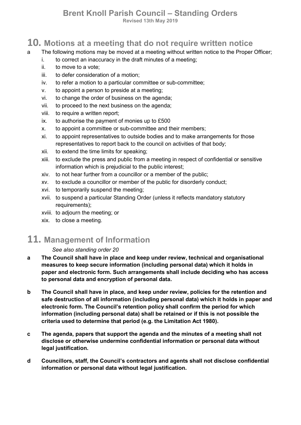### Brent Knoll Parish Council – Standing Orders

Revised 13th May 2019

### 10. Motions at a meeting that do not require written notice

- a The following motions may be moved at a meeting without written notice to the Proper Officer;
	- i. to correct an inaccuracy in the draft minutes of a meeting;
	- ii. to move to a vote;
	- iii. to defer consideration of a motion;
	- iv. to refer a motion to a particular committee or sub-committee;
	- v. to appoint a person to preside at a meeting;
	- vi. to change the order of business on the agenda;
	- vii. to proceed to the next business on the agenda;
	- viii. to require a written report;
	- ix. to authorise the payment of monies up to £500
	- x. to appoint a committee or sub-committee and their members;
	- xi. to appoint representatives to outside bodies and to make arrangements for those representatives to report back to the council on activities of that body;
	- xii. to extend the time limits for speaking;
	- xiii. to exclude the press and public from a meeting in respect of confidential or sensitive information which is prejudicial to the public interest;
	- xiv. to not hear further from a councillor or a member of the public;
	- xv. to exclude a councillor or member of the public for disorderly conduct;
	- xvi. to temporarily suspend the meeting;
	- xvii. to suspend a particular Standing Order (unless it reflects mandatory statutory requirements);
	- xviii. to adjourn the meeting; or
	- xix. to close a meeting.

### 11. Management of Information

#### See also standing order 20

- a The Council shall have in place and keep under review, technical and organisational measures to keep secure information (including personal data) which it holds in paper and electronic form. Such arrangements shall include deciding who has access to personal data and encryption of personal data.
- b The Council shall have in place, and keep under review, policies for the retention and safe destruction of all information (including personal data) which it holds in paper and electronic form. The Council's retention policy shall confirm the period for which information (including personal data) shall be retained or if this is not possible the criteria used to determine that period (e.g. the Limitation Act 1980).
- c The agenda, papers that support the agenda and the minutes of a meeting shall not disclose or otherwise undermine confidential information or personal data without legal justification.
- d Councillors, staff, the Council's contractors and agents shall not disclose confidential information or personal data without legal justification.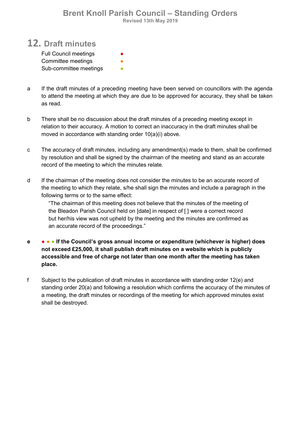#### Brent Knoll Parish Council – Standing Orders Revised 13th May 2019

### 12. Draft minutes

| <b>Full Council meetings</b> | ● |
|------------------------------|---|
| Committee meetings           |   |
| Sub-committee meetings       |   |

- a If the draft minutes of a preceding meeting have been served on councillors with the agenda to attend the meeting at which they are due to be approved for accuracy, they shall be taken as read.
- b There shall be no discussion about the draft minutes of a preceding meeting except in relation to their accuracy. A motion to correct an inaccuracy in the draft minutes shall be moved in accordance with standing order 10(a)(i) above.
- c The accuracy of draft minutes, including any amendment(s) made to them, shall be confirmed by resolution and shall be signed by the chairman of the meeting and stand as an accurate record of the meeting to which the minutes relate.
- d If the chairman of the meeting does not consider the minutes to be an accurate record of the meeting to which they relate, s/he shall sign the minutes and include a paragraph in the following terms or to the same effect:

"The chairman of this meeting does not believe that the minutes of the meeting of the Bleadon Parish Council held on [date] in respect of [ ] were a correct record but her/his view was not upheld by the meeting and the minutes are confirmed as an accurate record of the proceedings."

- e ● If the Council's gross annual income or expenditure (whichever is higher) does not exceed £25,000, it shall publish draft minutes on a website which is publicly accessible and free of charge not later than one month after the meeting has taken place.
- f Subject to the publication of draft minutes in accordance with standing order 12(e) and standing order 20(a) and following a resolution which confirms the accuracy of the minutes of a meeting, the draft minutes or recordings of the meeting for which approved minutes exist shall be destroyed.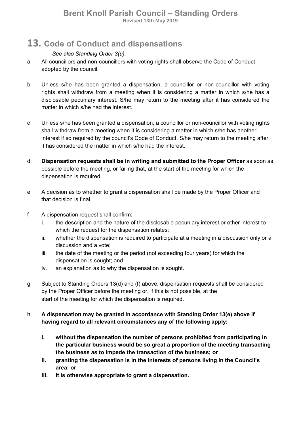# 13. Code of Conduct and dispensations

#### See also Standing Order 3(u).

- a All councillors and non-councillors with voting rights shall observe the Code of Conduct adopted by the council.
- b Unless s/he has been granted a dispensation, a councillor or non-councillor with voting rights shall withdraw from a meeting when it is considering a matter in which s/he has a disclosable pecuniary interest. S/he may return to the meeting after it has considered the matter in which s/he had the interest.
- c Unless s/he has been granted a dispensation, a councillor or non-councillor with voting rights shall withdraw from a meeting when it is considering a matter in which s/he has another interest if so required by the council's Code of Conduct. S/he may return to the meeting after it has considered the matter in which s/he had the interest.
- d Dispensation requests shall be in writing and submitted to the Proper Officer as soon as possible before the meeting, or failing that, at the start of the meeting for which the dispensation is required.
- e A decision as to whether to grant a dispensation shall be made by the Proper Officer and that decision is final.
- f A dispensation request shall confirm:
	- i. the description and the nature of the disclosable pecuniary interest or other interest to which the request for the dispensation relates;
	- ii. whether the dispensation is required to participate at a meeting in a discussion only or a discussion and a vote;
	- iii. the date of the meeting or the period (not exceeding four years) for which the dispensation is sought; and
	- iv. an explanation as to why the dispensation is sought.
- g Subject to Standing Orders 13(d) and (f) above, dispensation requests shall be considered by the Proper Officer before the meeting or, if this is not possible, at the start of the meeting for which the dispensation is required.

#### h A dispensation may be granted in accordance with Standing Order 13(e) above if having regard to all relevant circumstances any of the following apply:

- i. without the dispensation the number of persons prohibited from participating in the particular business would be so great a proportion of the meeting transacting the business as to impede the transaction of the business; or
- ii. granting the dispensation is in the interests of persons living in the Council's area; or
- iii. it is otherwise appropriate to grant a dispensation.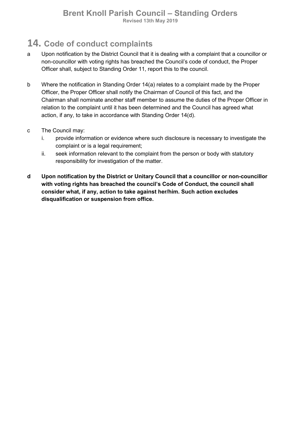# 14. Code of conduct complaints

- a Upon notification by the District Council that it is dealing with a complaint that a councillor or non-councillor with voting rights has breached the Council's code of conduct, the Proper Officer shall, subject to Standing Order 11, report this to the council.
- b Where the notification in Standing Order 14(a) relates to a complaint made by the Proper Officer, the Proper Officer shall notify the Chairman of Council of this fact, and the Chairman shall nominate another staff member to assume the duties of the Proper Officer in relation to the complaint until it has been determined and the Council has agreed what action, if any, to take in accordance with Standing Order 14(d).
- c The Council may:
	- i. provide information or evidence where such disclosure is necessary to investigate the complaint or is a legal requirement;
	- ii. seek information relevant to the complaint from the person or body with statutory responsibility for investigation of the matter.
- d Upon notification by the District or Unitary Council that a councillor or non-councillor with voting rights has breached the council's Code of Conduct, the council shall consider what, if any, action to take against her/him. Such action excludes disqualification or suspension from office.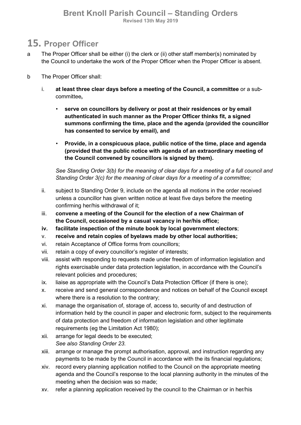# 15. Proper Officer

- a The Proper Officer shall be either (i) the clerk or (ii) other staff member(s) nominated by the Council to undertake the work of the Proper Officer when the Proper Officer is absent.
- b The Proper Officer shall:
	- i. at least three clear days before a meeting of the Council, a committee or a subcommittee,
		- serve on councillors by delivery or post at their residences or by email authenticated in such manner as the Proper Officer thinks fit, a signed summons confirming the time, place and the agenda (provided the councillor has consented to service by email), and
		- Provide, in a conspicuous place, public notice of the time, place and agenda (provided that the public notice with agenda of an extraordinary meeting of the Council convened by councillors is signed by them).

See Standing Order 3(b) for the meaning of clear days for a meeting of a full council and Standing Order 3(c) for the meaning of clear days for a meeting of a committee;

- ii. subject to Standing Order 9, include on the agenda all motions in the order received unless a councillor has given written notice at least five days before the meeting confirming her/his withdrawal of it;
- iii. convene a meeting of the Council for the election of a new Chairman of the Council, occasioned by a casual vacancy in her/his office;
- iv. facilitate inspection of the minute book by local government electors;
- v. receive and retain copies of byelaws made by other local authorities;
- vi. retain Acceptance of Office forms from councillors;
- vii. retain a copy of every councillor's register of interests;
- viii. assist with responding to requests made under freedom of information legislation and rights exercisable under data protection legislation, in accordance with the Council's relevant policies and procedures;
- ix. liaise as appropriate with the Council's Data Protection Officer (if there is one);
- x. receive and send general correspondence and notices on behalf of the Council except where there is a resolution to the contrary;
- xi. manage the organisation of, storage of, access to, security of and destruction of information held by the council in paper and electronic form, subject to the requirements of data protection and freedom of information legislation and other legitimate requirements (eg the Limitation Act 1980);
- xii. arrange for legal deeds to be executed; See also Standing Order 23.
- xiii. arrange or manage the prompt authorisation, approval, and instruction regarding any payments to be made by the Council in accordance with the its financial regulations;
- xiv. record every planning application notified to the Council on the appropriate meeting agenda and the Council's response to the local planning authority in the minutes of the meeting when the decision was so made;
- xv. refer a planning application received by the council to the Chairman or in her/his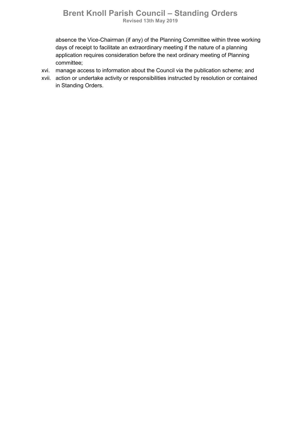#### Brent Knoll Parish Council – Standing Orders Revised 13th May 2019

absence the Vice-Chairman (if any) of the Planning Committee within three working days of receipt to facilitate an extraordinary meeting if the nature of a planning application requires consideration before the next ordinary meeting of Planning committee;

- xvi. manage access to information about the Council via the publication scheme; and
- xvii. action or undertake activity or responsibilities instructed by resolution or contained in Standing Orders.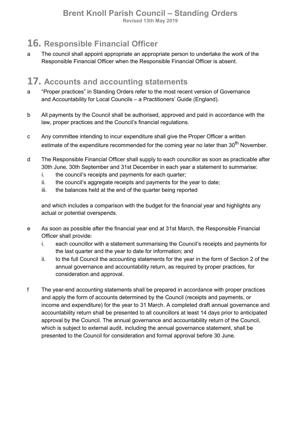# 16. Responsible Financial Officer

a The council shall appoint appropriate an appropriate person to undertake the work of the Responsible Financial Officer when the Responsible Financial Officer is absent.

# 17. Accounts and accounting statements

- a "Proper practices" in Standing Orders refer to the most recent version of Governance and Accountability for Local Councils – a Practitioners' Guide (England).
- b All payments by the Council shall be authorised, approved and paid in accordance with the law, proper practices and the Council's financial regulations.
- c Any committee intending to incur expenditure shall give the Proper Officer a written estimate of the expenditure recommended for the coming year no later than 30<sup>th</sup> November.
- d The Responsible Financial Officer shall supply to each councillor as soon as practicable after 30th June, 30th September and 31st December in each year a statement to summarise:
	- i. the council's receipts and payments for each quarter;
	- ii. the council's aggregate receipts and payments for the year to date;
	- iii. the balances held at the end of the quarter being reported

and which includes a comparison with the budget for the financial year and highlights any actual or potential overspends.

- e As soon as possible after the financial year end at 31st March, the Responsible Financial Officer shall provide:
	- i. each councillor with a statement summarising the Council's receipts and payments for the last quarter and the year to date for information; and
	- ii. to the full Council the accounting statements for the year in the form of Section 2 of the annual governance and accountability return, as required by proper practices, for consideration and approval.
- f The year-end accounting statements shall be prepared in accordance with proper practices and apply the form of accounts determined by the Council (receipts and payments, or income and expenditure) for the year to 31 March. A completed draft annual governance and accountability return shall be presented to all councillors at least 14 days prior to anticipated approval by the Council. The annual governance and accountability return of the Council, which is subject to external audit, including the annual governance statement, shall be presented to the Council for consideration and formal approval before 30 June.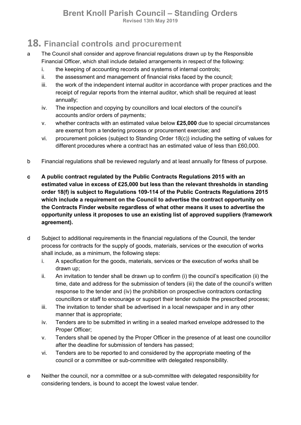Revised 13th May 2019

# 18. Financial controls and procurement

- a The Council shall consider and approve financial regulations drawn up by the Responsible Financial Officer, which shall include detailed arrangements in respect of the following:
	- i. the keeping of accounting records and systems of internal controls;
	- ii. the assessment and management of financial risks faced by the council;
	- iii. the work of the independent internal auditor in accordance with proper practices and the receipt of regular reports from the internal auditor, which shall be required at least annually;
	- iv. The inspection and copying by councillors and local electors of the council's accounts and/or orders of payments;
	- v. whether contracts with an estimated value below £25,000 due to special circumstances are exempt from a tendering process or procurement exercise; and
	- vi. procurement policies (subject to Standing Order 18(c)) including the setting of values for different procedures where a contract has an estimated value of less than £60,000.
- b Financial regulations shall be reviewed regularly and at least annually for fitness of purpose.
- c A public contract regulated by the Public Contracts Regulations 2015 with an estimated value in excess of £25,000 but less than the relevant thresholds in standing order 18(f) is subject to Regulations 109-114 of the Public Contracts Regulations 2015 which include a requirement on the Council to advertise the contract opportunity on the Contracts Finder website regardless of what other means it uses to advertise the opportunity unless it proposes to use an existing list of approved suppliers (framework agreement).
- d Subject to additional requirements in the financial regulations of the Council, the tender process for contracts for the supply of goods, materials, services or the execution of works shall include, as a minimum, the following steps:
	- i. A specification for the goods, materials, services or the execution of works shall be drawn up;
	- ii. An invitation to tender shall be drawn up to confirm (i) the council's specification (ii) the time, date and address for the submission of tenders (iii) the date of the council's written response to the tender and (iv) the prohibition on prospective contractors contacting councillors or staff to encourage or support their tender outside the prescribed process;
	- iii. The invitation to tender shall be advertised in a local newspaper and in any other manner that is appropriate;
	- iv. Tenders are to be submitted in writing in a sealed marked envelope addressed to the Proper Officer;
	- v. Tenders shall be opened by the Proper Officer in the presence of at least one councillor after the deadline for submission of tenders has passed;
	- vi. Tenders are to be reported to and considered by the appropriate meeting of the council or a committee or sub-committee with delegated responsibility.
- e Neither the council, nor a committee or a sub-committee with delegated responsibility for considering tenders, is bound to accept the lowest value tender.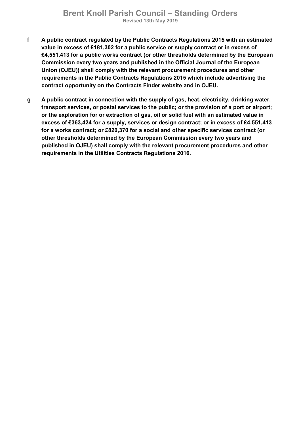- f A public contract regulated by the Public Contracts Regulations 2015 with an estimated value in excess of £181,302 for a public service or supply contract or in excess of £4,551,413 for a public works contract (or other thresholds determined by the European Commission every two years and published in the Official Journal of the European Union (OJEU)) shall comply with the relevant procurement procedures and other requirements in the Public Contracts Regulations 2015 which include advertising the contract opportunity on the Contracts Finder website and in OJEU.
- g A public contract in connection with the supply of gas, heat, electricity, drinking water, transport services, or postal services to the public; or the provision of a port or airport; or the exploration for or extraction of gas, oil or solid fuel with an estimated value in excess of £363,424 for a supply, services or design contract; or in excess of £4,551,413 for a works contract; or £820,370 for a social and other specific services contract (or other thresholds determined by the European Commission every two years and published in OJEU) shall comply with the relevant procurement procedures and other requirements in the Utilities Contracts Regulations 2016.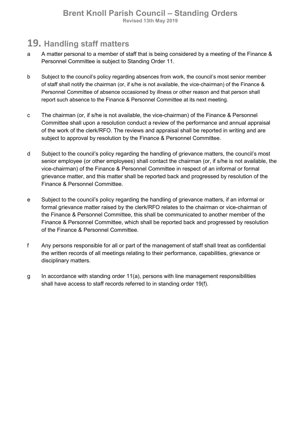## 19. Handling staff matters

- a A matter personal to a member of staff that is being considered by a meeting of the Finance & Personnel Committee is subject to Standing Order 11.
- b Subject to the council's policy regarding absences from work, the council's most senior member of staff shall notify the chairman (or, if s/he is not available, the vice-chairman) of the Finance & Personnel Committee of absence occasioned by illness or other reason and that person shall report such absence to the Finance & Personnel Committee at its next meeting.
- c The chairman (or, if s/he is not available, the vice-chairman) of the Finance & Personnel Committee shall upon a resolution conduct a review of the performance and annual appraisal of the work of the clerk/RFO. The reviews and appraisal shall be reported in writing and are subject to approval by resolution by the Finance & Personnel Committee.
- d Subject to the council's policy regarding the handling of grievance matters, the council's most senior employee (or other employees) shall contact the chairman (or, if s/he is not available, the vice-chairman) of the Finance & Personnel Committee in respect of an informal or formal grievance matter, and this matter shall be reported back and progressed by resolution of the Finance & Personnel Committee.
- e Subject to the council's policy regarding the handling of grievance matters, if an informal or formal grievance matter raised by the clerk/RFO relates to the chairman or vice-chairman of the Finance & Personnel Committee, this shall be communicated to another member of the Finance & Personnel Committee, which shall be reported back and progressed by resolution of the Finance & Personnel Committee.
- f Any persons responsible for all or part of the management of staff shall treat as confidential the written records of all meetings relating to their performance, capabilities, grievance or disciplinary matters.
- g In accordance with standing order 11(a), persons with line management responsibilities shall have access to staff records referred to in standing order 19(f).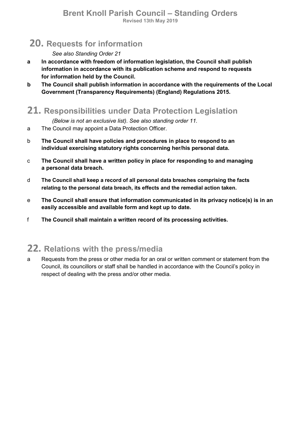# 20. Requests for information

#### See also Standing Order 21

- a In accordance with freedom of information legislation, the Council shall publish information in accordance with its publication scheme and respond to requests for information held by the Council.
- b The Council shall publish information in accordance with the requirements of the Local Government (Transparency Requirements) (England) Regulations 2015.

### 21. Responsibilities under Data Protection Legislation

(Below is not an exclusive list). See also standing order 11.

- a The Council may appoint a Data Protection Officer.
- b The Council shall have policies and procedures in place to respond to an individual exercising statutory rights concerning her/his personal data.
- c The Council shall have a written policy in place for responding to and managing a personal data breach.
- d The Council shall keep a record of all personal data breaches comprising the facts relating to the personal data breach, its effects and the remedial action taken.
- e The Council shall ensure that information communicated in its privacy notice(s) is in an easily accessible and available form and kept up to date.
- f The Council shall maintain a written record of its processing activities.

# 22. Relations with the press/media

a Requests from the press or other media for an oral or written comment or statement from the Council, its councillors or staff shall be handled in accordance with the Council's policy in respect of dealing with the press and/or other media.